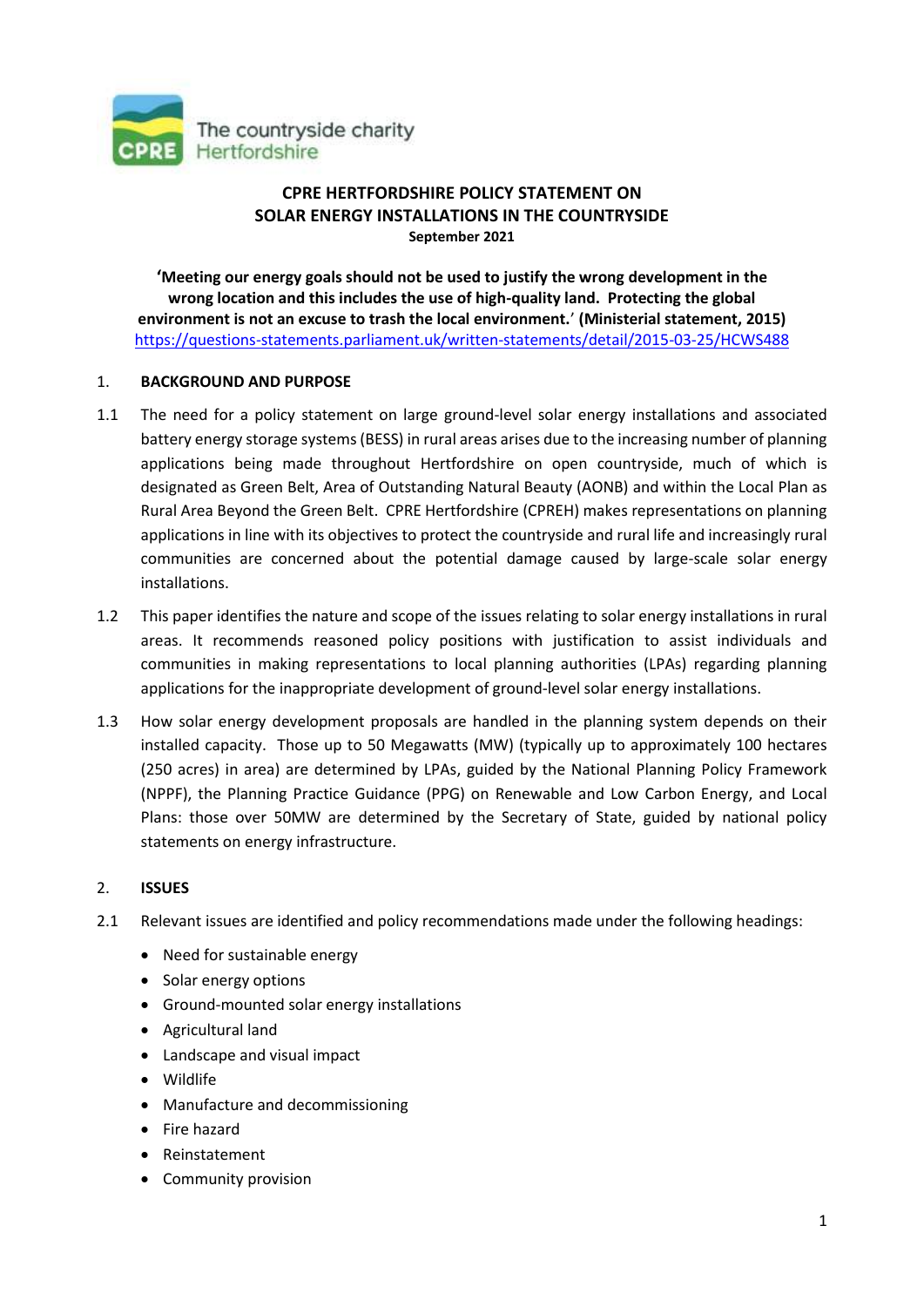

# **CPRE HERTFORDSHIRE POLICY STATEMENT ON SOLAR ENERGY INSTALLATIONS IN THE COUNTRYSIDE September 2021**

**'Meeting our energy goals should not be used to justify the wrong development in the wrong location and this includes the use of high-quality land. Protecting the global environment is not an excuse to trash the local environment.**' **(Ministerial statement, 2015)** <https://questions-statements.parliament.uk/written-statements/detail/2015-03-25/HCWS488>

# 1. **BACKGROUND AND PURPOSE**

- 1.1 The need for a policy statement on large ground-level solar energy installations and associated battery energy storage systems (BESS) in rural areas arises due to the increasing number of planning applications being made throughout Hertfordshire on open countryside, much of which is designated as Green Belt, Area of Outstanding Natural Beauty (AONB) and within the Local Plan as Rural Area Beyond the Green Belt. CPRE Hertfordshire (CPREH) makes representations on planning applications in line with its objectives to protect the countryside and rural life and increasingly rural communities are concerned about the potential damage caused by large-scale solar energy installations.
- 1.2 This paper identifies the nature and scope of the issues relating to solar energy installations in rural areas. It recommends reasoned policy positions with justification to assist individuals and communities in making representations to local planning authorities (LPAs) regarding planning applications for the inappropriate development of ground-level solar energy installations.
- 1.3 How solar energy development proposals are handled in the planning system depends on their installed capacity. Those up to 50 Megawatts (MW) (typically up to approximately 100 hectares (250 acres) in area) are determined by LPAs, guided by the National Planning Policy Framework (NPPF), the Planning Practice Guidance (PPG) on Renewable and Low Carbon Energy, and Local Plans: those over 50MW are determined by the Secretary of State, guided by national policy statements on energy infrastructure.

# 2. **ISSUES**

- 2.1 Relevant issues are identified and policy recommendations made under the following headings:
	- Need for sustainable energy
	- Solar energy options
	- Ground-mounted solar energy installations
	- Agricultural land
	- Landscape and visual impact
	- Wildlife
	- Manufacture and decommissioning
	- Fire hazard
	- Reinstatement
	- Community provision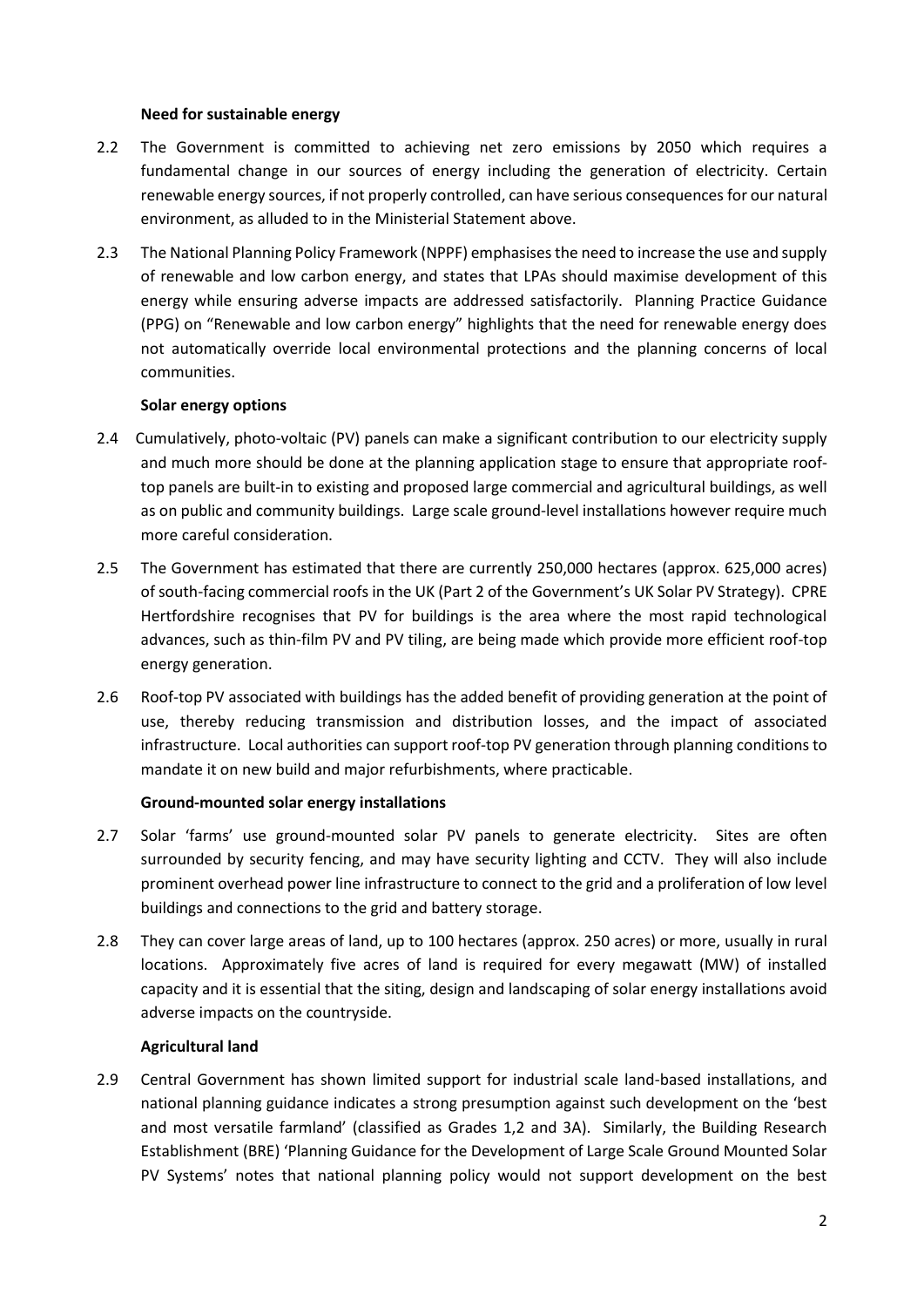### **Need for sustainable energy**

- 2.2 The Government is committed to achieving net zero emissions by 2050 which requires a fundamental change in our sources of energy including the generation of electricity. Certain renewable energy sources, if not properly controlled, can have serious consequences for our natural environment, as alluded to in the Ministerial Statement above.
- 2.3 The National Planning Policy Framework (NPPF) emphasises the need to increase the use and supply of renewable and low carbon energy, and states that LPAs should maximise development of this energy while ensuring adverse impacts are addressed satisfactorily. Planning Practice Guidance (PPG) on "Renewable and low carbon energy" highlights that the need for renewable energy does not automatically override local environmental protections and the planning concerns of local communities.

# **Solar energy options**

- 2.4 Cumulatively, photo-voltaic (PV) panels can make a significant contribution to our electricity supply and much more should be done at the planning application stage to ensure that appropriate rooftop panels are built-in to existing and proposed large commercial and agricultural buildings, as well as on public and community buildings. Large scale ground-level installations however require much more careful consideration.
- 2.5 The Government has estimated that there are currently 250,000 hectares (approx. 625,000 acres) of south-facing commercial roofs in the UK (Part 2 of the Government's UK Solar PV Strategy). CPRE Hertfordshire recognises that PV for buildings is the area where the most rapid technological advances, such as thin-film PV and PV tiling, are being made which provide more efficient roof-top energy generation.
- 2.6 Roof-top PV associated with buildings has the added benefit of providing generation at the point of use, thereby reducing transmission and distribution losses, and the impact of associated infrastructure. Local authorities can support roof-top PV generation through planning conditions to mandate it on new build and major refurbishments, where practicable.

# **Ground-mounted solar energy installations**

- 2.7 Solar 'farms' use ground-mounted solar PV panels to generate electricity. Sites are often surrounded by security fencing, and may have security lighting and CCTV. They will also include prominent overhead power line infrastructure to connect to the grid and a proliferation of low level buildings and connections to the grid and battery storage.
- 2.8 They can cover large areas of land, up to 100 hectares (approx. 250 acres) or more, usually in rural locations. Approximately five acres of land is required for every megawatt (MW) of installed capacity and it is essential that the siting, design and landscaping of solar energy installations avoid adverse impacts on the countryside.

# **Agricultural land**

2.9 Central Government has shown limited support for industrial scale land-based installations, and national planning guidance indicates a strong presumption against such development on the 'best and most versatile farmland' (classified as Grades 1,2 and 3A). Similarly, the Building Research Establishment (BRE) 'Planning Guidance for the Development of Large Scale Ground Mounted Solar PV Systems' notes that national planning policy would not support development on the best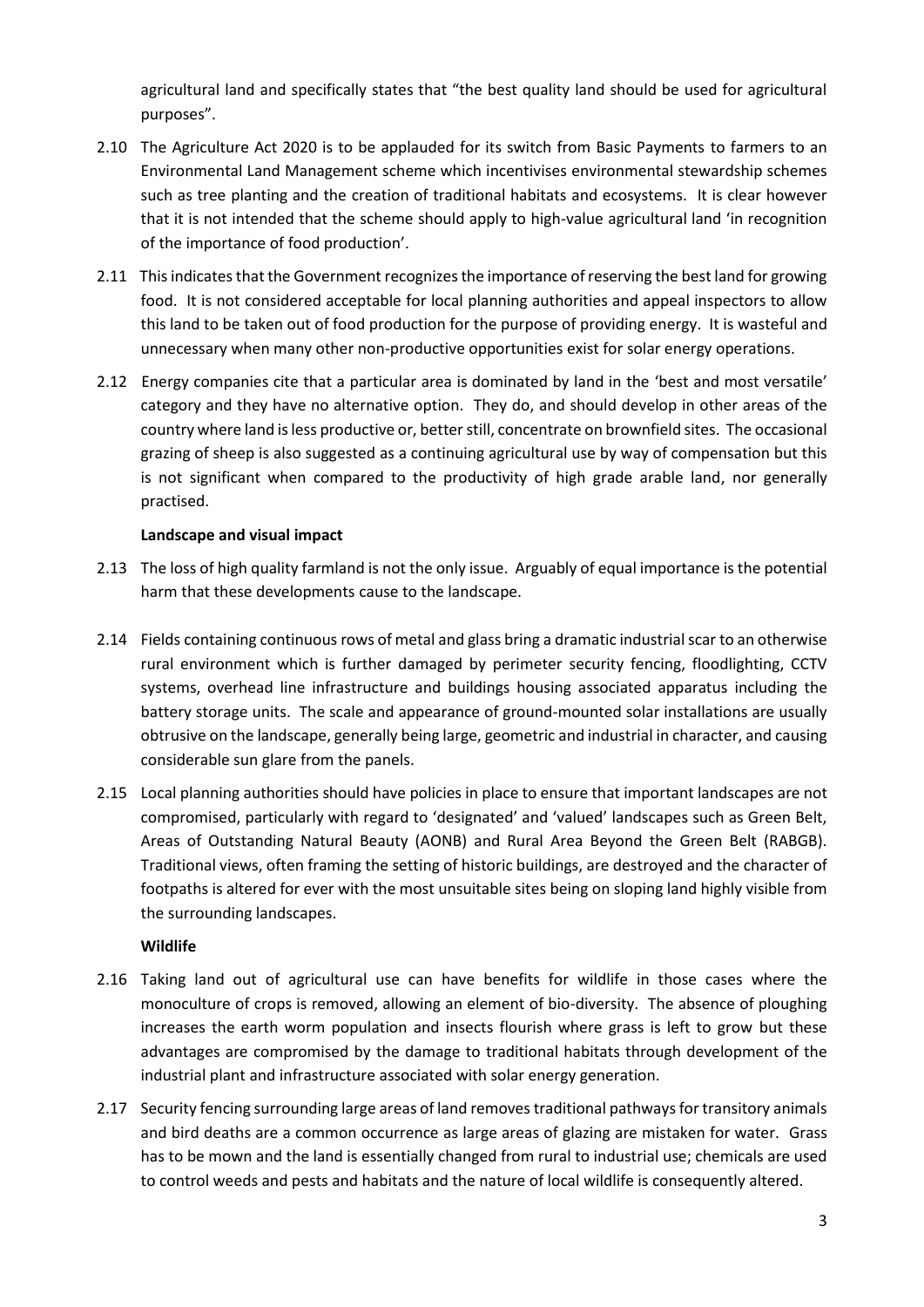agricultural land and specifically states that "the best quality land should be used for agricultural purposes".

- 2.10 The Agriculture Act 2020 is to be applauded for its switch from Basic Payments to farmers to an Environmental Land Management scheme which incentivises environmental stewardship schemes such as tree planting and the creation of traditional habitats and ecosystems. It is clear however that it is not intended that the scheme should apply to high-value agricultural land 'in recognition of the importance of food production'.
- 2.11 This indicates that the Government recognizes the importance of reserving the best land for growing food. It is not considered acceptable for local planning authorities and appeal inspectors to allow this land to be taken out of food production for the purpose of providing energy. It is wasteful and unnecessary when many other non-productive opportunities exist for solar energy operations.
- 2.12 Energy companies cite that a particular area is dominated by land in the 'best and most versatile' category and they have no alternative option. They do, and should develop in other areas of the country where land is less productive or, better still, concentrate on brownfield sites. The occasional grazing of sheep is also suggested as a continuing agricultural use by way of compensation but this is not significant when compared to the productivity of high grade arable land, nor generally practised.

# **Landscape and visual impact**

- 2.13 The loss of high quality farmland is not the only issue. Arguably of equal importance is the potential harm that these developments cause to the landscape.
- 2.14 Fields containing continuous rows of metal and glass bring a dramatic industrial scar to an otherwise rural environment which is further damaged by perimeter security fencing, floodlighting, CCTV systems, overhead line infrastructure and buildings housing associated apparatus including the battery storage units. The scale and appearance of ground-mounted solar installations are usually obtrusive on the landscape, generally being large, geometric and industrial in character, and causing considerable sun glare from the panels.
- 2.15 Local planning authorities should have policies in place to ensure that important landscapes are not compromised, particularly with regard to 'designated' and 'valued' landscapes such as Green Belt, Areas of Outstanding Natural Beauty (AONB) and Rural Area Beyond the Green Belt (RABGB). Traditional views, often framing the setting of historic buildings, are destroyed and the character of footpaths is altered for ever with the most unsuitable sites being on sloping land highly visible from the surrounding landscapes.

#### **Wildlife**

- 2.16 Taking land out of agricultural use can have benefits for wildlife in those cases where the monoculture of crops is removed, allowing an element of bio-diversity. The absence of ploughing increases the earth worm population and insects flourish where grass is left to grow but these advantages are compromised by the damage to traditional habitats through development of the industrial plant and infrastructure associated with solar energy generation.
- 2.17 Security fencing surrounding large areas of land removes traditional pathways for transitory animals and bird deaths are a common occurrence as large areas of glazing are mistaken for water. Grass has to be mown and the land is essentially changed from rural to industrial use; chemicals are used to control weeds and pests and habitats and the nature of local wildlife is consequently altered.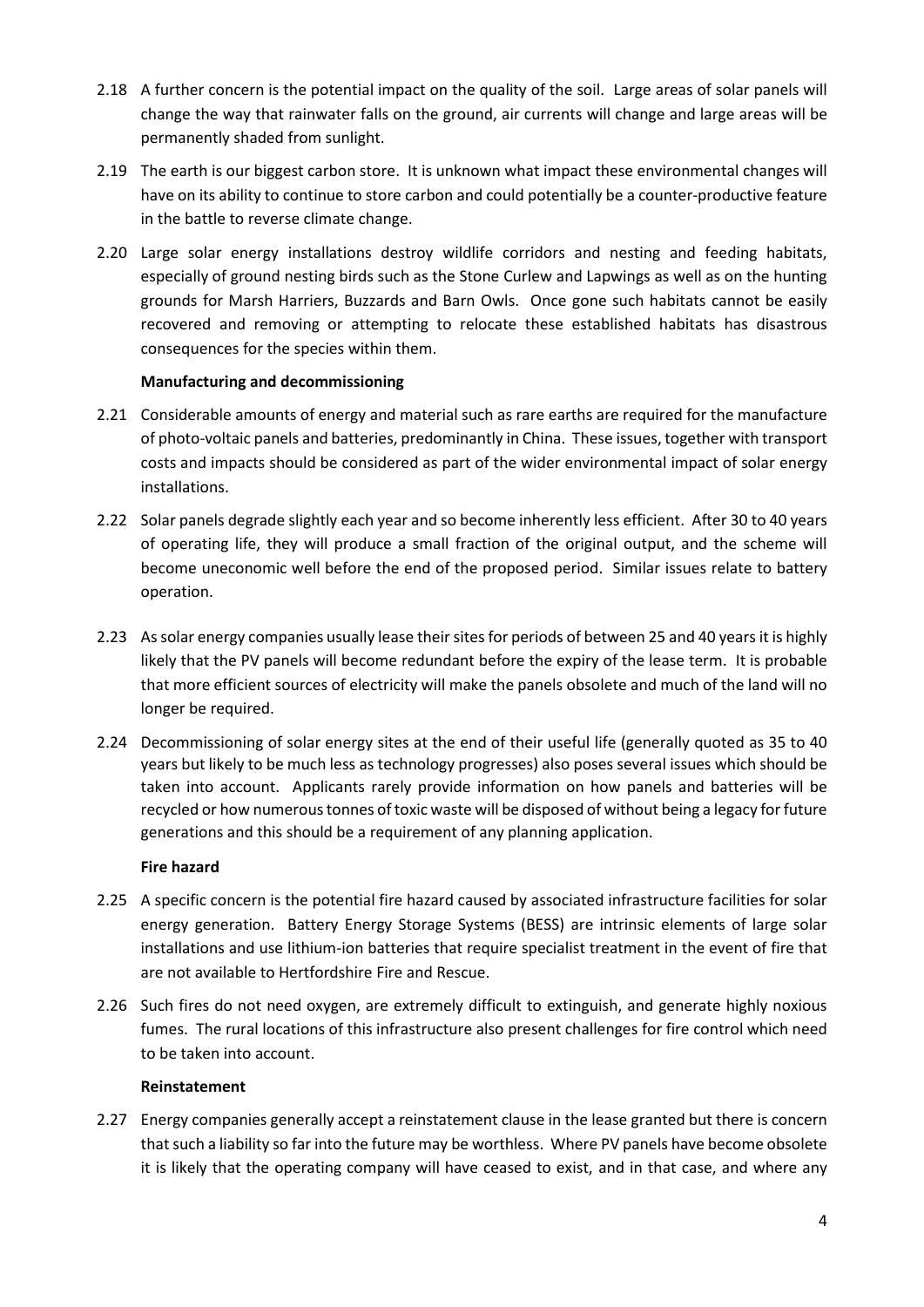- 2.18 A further concern is the potential impact on the quality of the soil. Large areas of solar panels will change the way that rainwater falls on the ground, air currents will change and large areas will be permanently shaded from sunlight.
- 2.19 The earth is our biggest carbon store. It is unknown what impact these environmental changes will have on its ability to continue to store carbon and could potentially be a counter-productive feature in the battle to reverse climate change.
- 2.20 Large solar energy installations destroy wildlife corridors and nesting and feeding habitats, especially of ground nesting birds such as the Stone Curlew and Lapwings as well as on the hunting grounds for Marsh Harriers, Buzzards and Barn Owls. Once gone such habitats cannot be easily recovered and removing or attempting to relocate these established habitats has disastrous consequences for the species within them.

# **Manufacturing and decommissioning**

- 2.21 Considerable amounts of energy and material such as rare earths are required for the manufacture of photo-voltaic panels and batteries, predominantly in China. These issues, together with transport costs and impacts should be considered as part of the wider environmental impact of solar energy installations.
- 2.22 Solar panels degrade slightly each year and so become inherently less efficient. After 30 to 40 years of operating life, they will produce a small fraction of the original output, and the scheme will become uneconomic well before the end of the proposed period. Similar issues relate to battery operation.
- 2.23 As solar energy companies usually lease their sites for periods of between 25 and 40 years it is highly likely that the PV panels will become redundant before the expiry of the lease term. It is probable that more efficient sources of electricity will make the panels obsolete and much of the land will no longer be required.
- 2.24 Decommissioning of solar energy sites at the end of their useful life (generally quoted as 35 to 40 years but likely to be much less as technology progresses) also poses several issues which should be taken into account. Applicants rarely provide information on how panels and batteries will be recycled or how numerous tonnes of toxic waste will be disposed of without being a legacy for future generations and this should be a requirement of any planning application.

#### **Fire hazard**

- 2.25 A specific concern is the potential fire hazard caused by associated infrastructure facilities for solar energy generation. Battery Energy Storage Systems (BESS) are intrinsic elements of large solar installations and use lithium-ion batteries that require specialist treatment in the event of fire that are not available to Hertfordshire Fire and Rescue.
- 2.26 Such fires do not need oxygen, are extremely difficult to extinguish, and generate highly noxious fumes. The rural locations of this infrastructure also present challenges for fire control which need to be taken into account.

#### **Reinstatement**

2.27 Energy companies generally accept a reinstatement clause in the lease granted but there is concern that such a liability so far into the future may be worthless. Where PV panels have become obsolete it is likely that the operating company will have ceased to exist, and in that case, and where any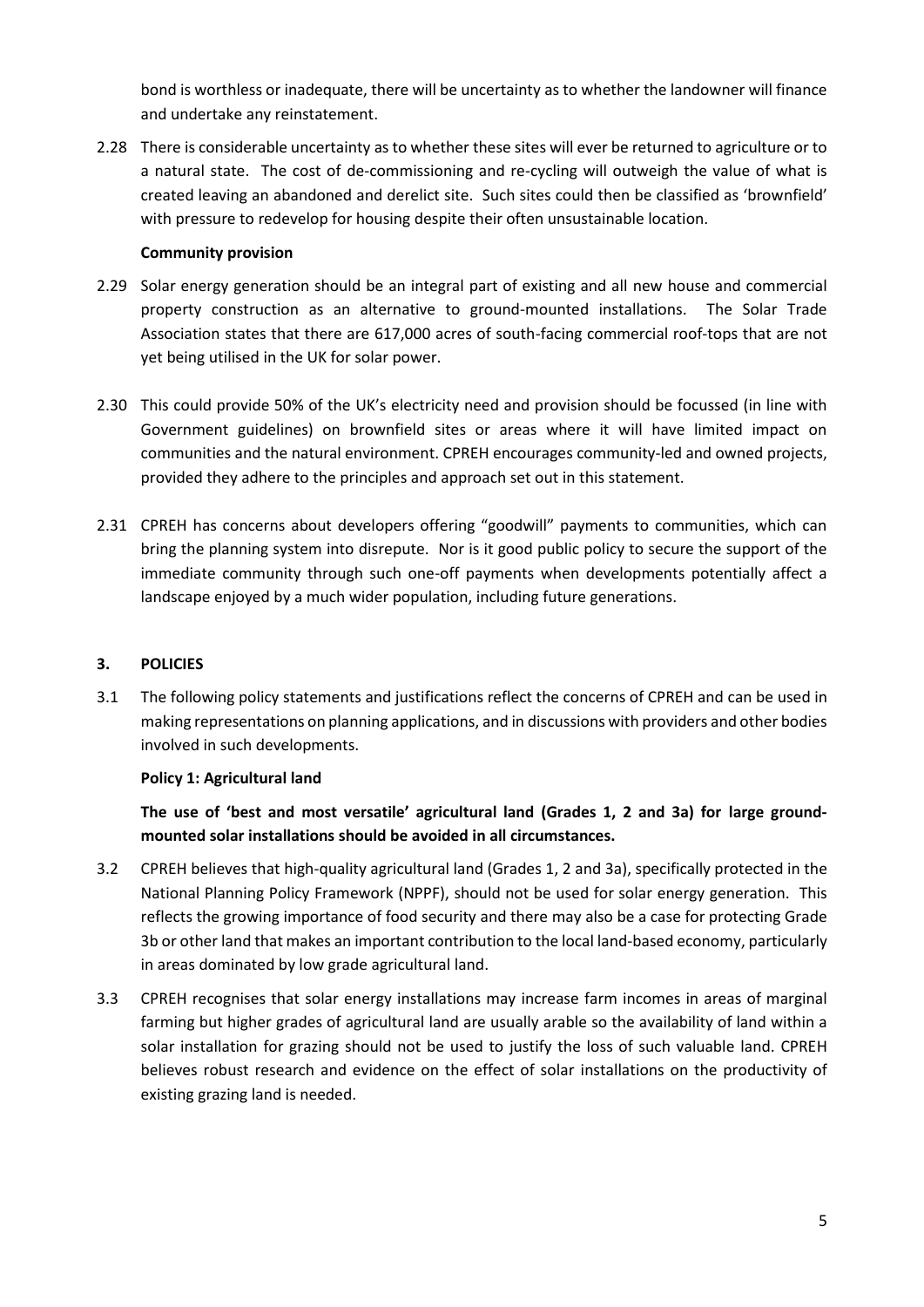bond is worthless or inadequate, there will be uncertainty as to whether the landowner will finance and undertake any reinstatement.

2.28 There is considerable uncertainty as to whether these sites will ever be returned to agriculture or to a natural state. The cost of de-commissioning and re-cycling will outweigh the value of what is created leaving an abandoned and derelict site. Such sites could then be classified as 'brownfield' with pressure to redevelop for housing despite their often unsustainable location.

## **Community provision**

- 2.29 Solar energy generation should be an integral part of existing and all new house and commercial property construction as an alternative to ground-mounted installations. The Solar Trade Association states that there are 617,000 acres of south-facing commercial roof-tops that are not yet being utilised in the UK for solar power.
- 2.30 This could provide 50% of the UK's electricity need and provision should be focussed (in line with Government guidelines) on brownfield sites or areas where it will have limited impact on communities and the natural environment. CPREH encourages community-led and owned projects, provided they adhere to the principles and approach set out in this statement.
- 2.31 CPREH has concerns about developers offering "goodwill" payments to communities, which can bring the planning system into disrepute. Nor is it good public policy to secure the support of the immediate community through such one-off payments when developments potentially affect a landscape enjoyed by a much wider population, including future generations.

# **3. POLICIES**

3.1 The following policy statements and justifications reflect the concerns of CPREH and can be used in making representations on planning applications, and in discussions with providers and other bodies involved in such developments.

# **Policy 1: Agricultural land**

**The use of 'best and most versatile' agricultural land (Grades 1, 2 and 3a) for large groundmounted solar installations should be avoided in all circumstances.**

- 3.2 CPREH believes that high-quality agricultural land (Grades 1, 2 and 3a), specifically protected in the National Planning Policy Framework (NPPF), should not be used for solar energy generation. This reflects the growing importance of food security and there may also be a case for protecting Grade 3b or other land that makes an important contribution to the local land-based economy, particularly in areas dominated by low grade agricultural land.
- 3.3 CPREH recognises that solar energy installations may increase farm incomes in areas of marginal farming but higher grades of agricultural land are usually arable so the availability of land within a solar installation for grazing should not be used to justify the loss of such valuable land. CPREH believes robust research and evidence on the effect of solar installations on the productivity of existing grazing land is needed.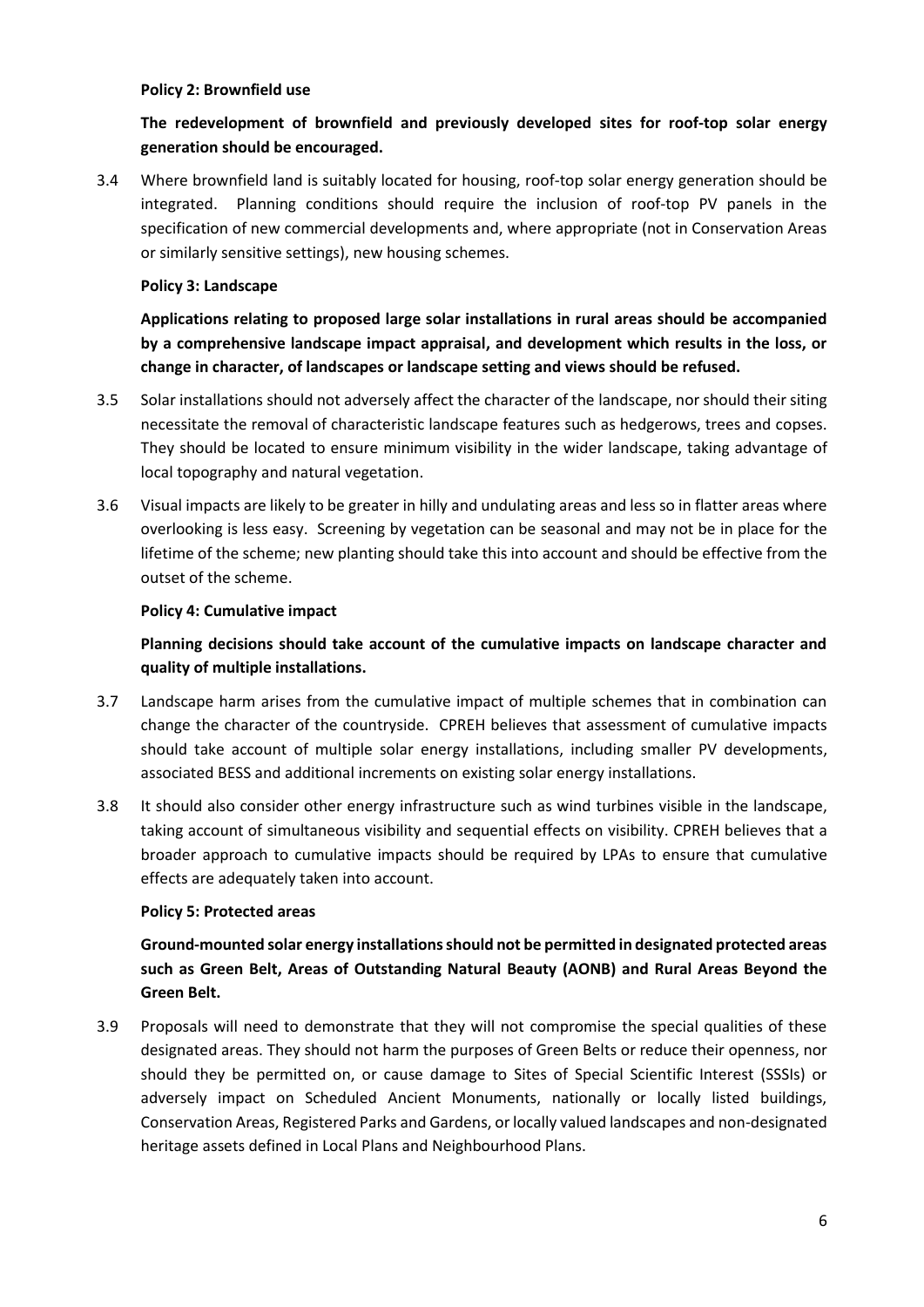#### **Policy 2: Brownfield use**

# **The redevelopment of brownfield and previously developed sites for roof-top solar energy generation should be encouraged.**

3.4 Where brownfield land is suitably located for housing, roof-top solar energy generation should be integrated. Planning conditions should require the inclusion of roof-top PV panels in the specification of new commercial developments and, where appropriate (not in Conservation Areas or similarly sensitive settings), new housing schemes.

## **Policy 3: Landscape**

**Applications relating to proposed large solar installations in rural areas should be accompanied by a comprehensive landscape impact appraisal, and development which results in the loss, or change in character, of landscapes or landscape setting and views should be refused.**

- 3.5 Solar installations should not adversely affect the character of the landscape, nor should their siting necessitate the removal of characteristic landscape features such as hedgerows, trees and copses. They should be located to ensure minimum visibility in the wider landscape, taking advantage of local topography and natural vegetation.
- 3.6 Visual impacts are likely to be greater in hilly and undulating areas and less so in flatter areas where overlooking is less easy. Screening by vegetation can be seasonal and may not be in place for the lifetime of the scheme; new planting should take this into account and should be effective from the outset of the scheme.

## **Policy 4: Cumulative impact**

# **Planning decisions should take account of the cumulative impacts on landscape character and quality of multiple installations.**

- 3.7 Landscape harm arises from the cumulative impact of multiple schemes that in combination can change the character of the countryside. CPREH believes that assessment of cumulative impacts should take account of multiple solar energy installations, including smaller PV developments, associated BESS and additional increments on existing solar energy installations.
- 3.8 It should also consider other energy infrastructure such as wind turbines visible in the landscape, taking account of simultaneous visibility and sequential effects on visibility. CPREH believes that a broader approach to cumulative impacts should be required by LPAs to ensure that cumulative effects are adequately taken into account.

#### **Policy 5: Protected areas**

**Ground-mounted solar energy installations should not be permitted in designated protected areas such as Green Belt, Areas of Outstanding Natural Beauty (AONB) and Rural Areas Beyond the Green Belt.**

3.9 Proposals will need to demonstrate that they will not compromise the special qualities of these designated areas. They should not harm the purposes of Green Belts or reduce their openness, nor should they be permitted on, or cause damage to Sites of Special Scientific Interest (SSSIs) or adversely impact on Scheduled Ancient Monuments, nationally or locally listed buildings, Conservation Areas, Registered Parks and Gardens, or locally valued landscapes and non-designated heritage assets defined in Local Plans and Neighbourhood Plans.